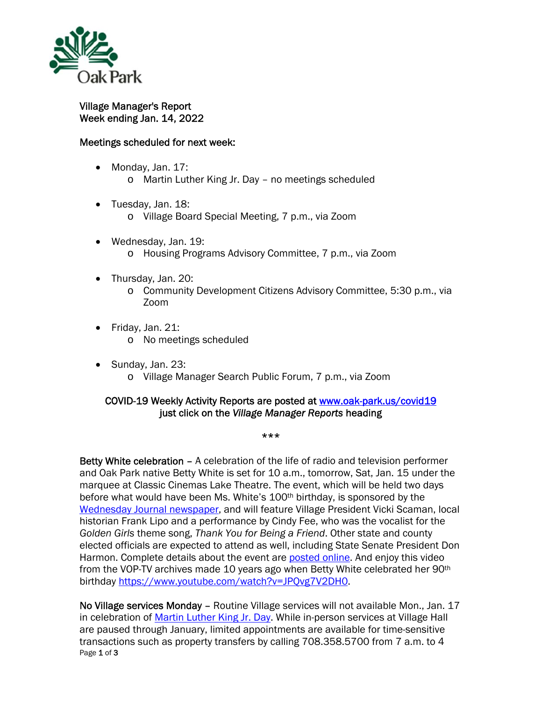

Village Manager's Report Week ending Jan. 14, 2022

## Meetings scheduled for next week:

- Monday, Jan. 17: o Martin Luther King Jr. Day – no meetings scheduled
- Tuesday, Jan. 18: o Village Board Special Meeting, 7 p.m., via Zoom
- Wednesday, Jan. 19: o Housing Programs Advisory Committee, 7 p.m., via Zoom
- Thursday, Jan. 20:
	- o Community Development Citizens Advisory Committee, 5:30 p.m., via Zoom
- Friday, Jan. 21:
	- o No meetings scheduled
- Sunday, Jan. 23:
	- o Village Manager Search Public Forum, 7 p.m., via Zoom

## COVID-19 Weekly Activity Reports are posted at www.oak-park.us/covid19 just click on the *Village Manager Reports* heading

## \*\*\*

Betty White celebration – A celebration of the life of radio and television performer and Oak Park native Betty White is set for 10 a.m., tomorrow, Sat, Jan. 15 under the marquee at Classic Cinemas Lake Theatre. The event, which will be held two days before what would have been Ms. White's 100<sup>th</sup> birthday, is sponsored by the Wednesday Journal newspaper, and will feature Village President Vicki Scaman, local historian Frank Lipo and a performance by Cindy Fee, who was the vocalist for the *Golden Girls* theme song, *Thank You for Being a Friend*. Other state and county elected officials are expected to attend as well, including State Senate President Don Harmon. Complete details about the event are posted online. And enjoy this video from the VOP-TV archives made 10 years ago when Betty White celebrated her 90<sup>th</sup> birthday https://www.youtube.com/watch?v=JPQvg7V2DH0.

Page 1 of 3 No Village services Monday – Routine Village services will not available Mon., Jan. 17 in celebration of Martin Luther King Jr. Day. While in-person services at Village Hall are paused through January, limited appointments are available for time-sensitive transactions such as property transfers by calling 708.358.5700 from 7 a.m. to 4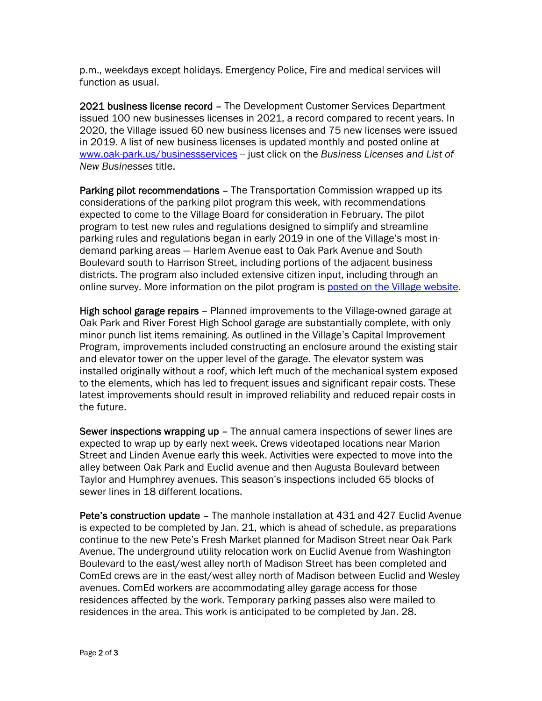p.m., weekdays except holidays. Emergency Police, Fire and medical services will function as usual.

2021 business license record – The Development Customer Services Department issued 100 new businesses licenses in 2021, a record compared to recent years. In 2020, the Village issued 60 new business licenses and 75 new licenses were issued in 2019. A list of new business licenses is updated monthly and posted online at www.oak-park.us/businessservices -- just click on the *Business Licenses and List of New Businesses* title.

Parking pilot recommendations – The Transportation Commission wrapped up its considerations of the parking pilot program this week, with recommendations expected to come to the Village Board for consideration in February. The pilot program to test new rules and regulations designed to simplify and streamline parking rules and regulations began in early 2019 in one of the Village's most indemand parking areas — Harlem Avenue east to Oak Park Avenue and South Boulevard south to Harrison Street, including portions of the adjacent business districts. The program also included extensive citizen input, including through an online survey. More information on the pilot program is posted on the Village website.

High school garage repairs - Planned improvements to the Village-owned garage at Oak Park and River Forest High School garage are substantially complete, with only minor punch list items remaining. As outlined in the Village's Capital Improvement Program, improvements included constructing an enclosure around the existing stair and elevator tower on the upper level of the garage. The elevator system was installed originally without a roof, which left much of the mechanical system exposed to the elements, which has led to frequent issues and significant repair costs. These latest improvements should result in improved reliability and reduced repair costs in the future.

Sewer inspections wrapping up – The annual camera inspections of sewer lines are expected to wrap up by early next week. Crews videotaped locations near Marion Street and Linden Avenue early this week. Activities were expected to move into the alley between Oak Park and Euclid avenue and then Augusta Boulevard between Taylor and Humphrey avenues. This season's inspections included 65 blocks of sewer lines in 18 different locations.

Pete's construction update – The manhole installation at 431 and 427 Euclid Avenue is expected to be completed by Jan. 21, which is ahead of schedule, as preparations continue to the new Pete's Fresh Market planned for Madison Street near Oak Park Avenue. The underground utility relocation work on Euclid Avenue from Washington Boulevard to the east/west alley north of Madison Street has been completed and ComEd crews are in the east/west alley north of Madison between Euclid and Wesley avenues. ComEd workers are accommodating alley garage access for those residences affected by the work. Temporary parking passes also were mailed to residences in the area. This work is anticipated to be completed by Jan. 28.